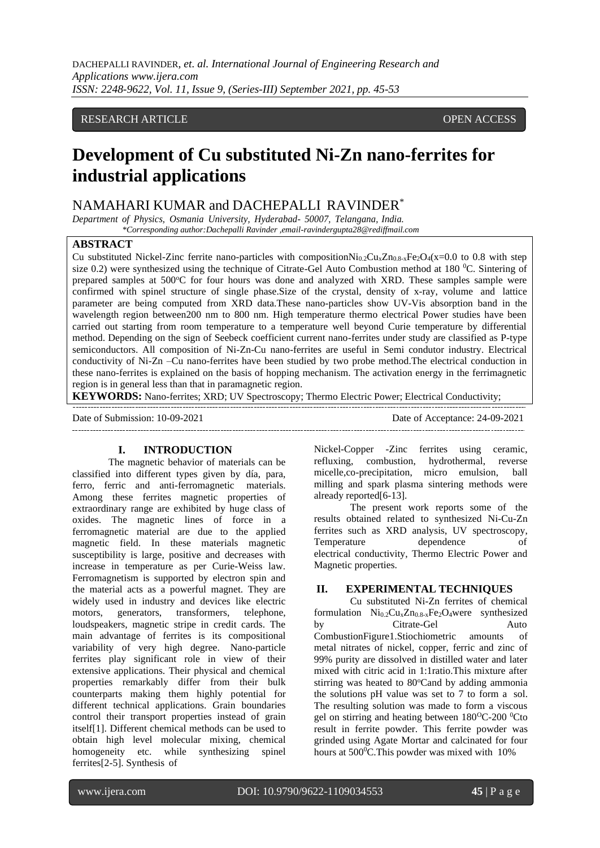## RESEARCH ARTICLE **CONSERVERS** OPEN ACCESS

# **Development of Cu substituted Ni-Zn nano-ferrites for industrial applications**

# NAMAHARI KUMAR and DACHEPALLI RAVINDER\*

*Department of Physics, Osmania University, Hyderabad- 50007, Telangana, India. \*Corresponding author:Dachepalli Ravinder ,email-ravindergupta28@rediffmail.com*

## **ABSTRACT**

Cu substituted Nickel-Zinc ferrite nano-particles with composition $Ni_{0.2}Cu_{x}Zn_{0.8-x}Fe_{2}O_{4}(x=0.0$  to 0.8 with step size 0.2) were synthesized using the technique of Citrate-Gel Auto Combustion method at 180  $^{\circ}$ C. Sintering of prepared samples at 500°C for four hours was done and analyzed with XRD. These samples sample were confirmed with spinel structure of single phase.Size of the crystal, density of x-ray, volume and lattice parameter are being computed from XRD data.These nano-particles show UV-Vis absorption band in the wavelength region between200 nm to 800 nm. High temperature thermo electrical Power studies have been carried out starting from room temperature to a temperature well beyond Curie temperature by differential method. Depending on the sign of Seebeck coefficient current nano-ferrites under study are classified as P-type semiconductors. All composition of Ni-Zn-Cu nano-ferrites are useful in Semi condutor industry. Electrical conductivity of Ni-Zn –Cu nano-ferrites have been studied by two probe method.The electrical conduction in these nano-ferrites is explained on the basis of hopping mechanism. The activation energy in the ferrimagnetic region is in general less than that in paramagnetic region.

**KEYWORDS:** Nano-ferrites; XRD; UV Spectroscopy; Thermo Electric Power; Electrical Conductivity;

| Date of Submission: 10-09-2021 | Date of Acceptance: 24-09-2021 |
|--------------------------------|--------------------------------|
|                                |                                |

#### **I. INTRODUCTION**

The magnetic behavior of materials can be classified into different types given by día, para, ferro, ferric and anti-ferromagnetic materials. Among these ferrites magnetic properties of extraordinary range are exhibited by huge class of oxides. The magnetic lines of force in a ferromagnetic material are due to the applied magnetic field. In these materials magnetic susceptibility is large, positive and decreases with increase in temperature as per Curie-Weiss law. Ferromagnetism is supported by electron spin and the material acts as a powerful magnet. They are widely used in industry and devices like electric motors, generators, transformers, telephone, loudspeakers, magnetic stripe in credit cards. The main advantage of ferrites is its compositional variability of very high degree. Nano-particle ferrites play significant role in view of their extensive applications. Their physical and chemical properties remarkably differ from their bulk counterparts making them highly potential for different technical applications. Grain boundaries control their transport properties instead of grain itself[1]. Different chemical methods can be used to obtain high level molecular mixing, chemical homogeneity etc. while synthesizing spinel ferrites[2-5]. Synthesis of

Nickel-Copper -Zinc ferrites using ceramic, refluxing, combustion, hydrothermal, reverse micelle,co-precipitation, micro emulsion, ball milling and spark plasma sintering methods were already reported[6-13].

The present work reports some of the results obtained related to synthesized Ni-Cu-Zn ferrites such as XRD analysis, UV spectroscopy, Temperature dependence of electrical conductivity, Thermo Electric Power and Magnetic properties.

#### **II. EXPERIMENTAL TECHNIQUES**

Cu substituted Ni-Zn ferrites of chemical formulation  $Ni_{0.2}Cu_{x}Zn_{0.8-x}Fe_{2}O_{4}$ were synthesized by Citrate-Gel Auto CombustionFigure1.Stiochiometric amounts of metal nitrates of nickel, copper, ferric and zinc of 99% purity are dissolved in distilled water and later mixed with citric acid in 1:1ratio.This mixture after stirring was heated to 80°Cand by adding ammonia the solutions pH value was set to 7 to form a sol. The resulting solution was made to form a viscous gel on stirring and heating between  $180^{\circ}$ C-200  $^{\circ}$ Cto result in ferrite powder. This ferrite powder was grinded using Agate Mortar and calcinated for four hours at 500°C. This powder was mixed with 10%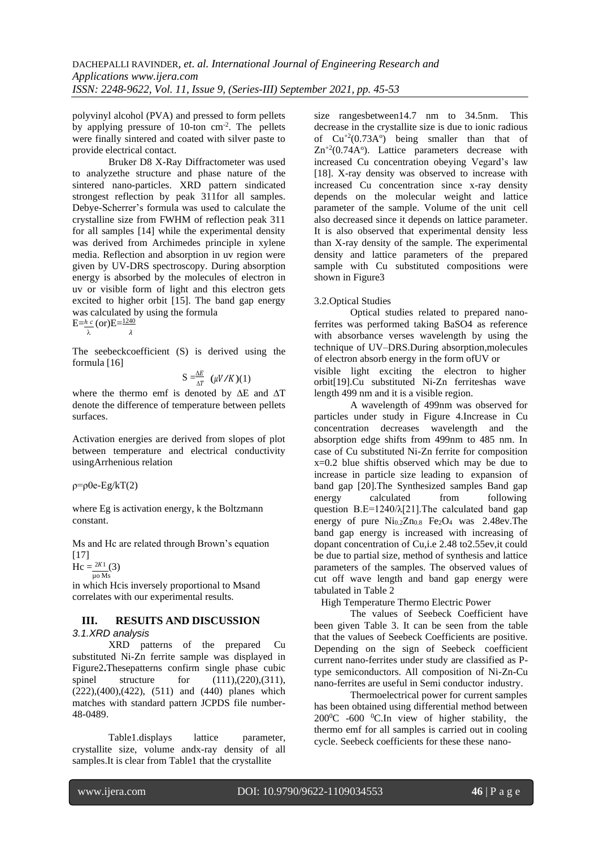polyvinyl alcohol (PVA) and pressed to form pellets by applying pressure of 10-ton cm<sup>-2</sup>. The pellets were finally sintered and coated with silver paste to provide electrical contact.

Bruker D8 X-Ray Diffractometer was used to analyzethe structure and phase nature of the sintered nano-particles. XRD pattern sindicated strongest reflection by peak 311for all samples. Debye-Scherrer's formula was used to calculate the crystalline size from FWHM of reflection peak 311 for all samples [14] while the experimental density was derived from Archimedes principle in xylene media. Reflection and absorption in uv region were given by UV-DRS spectroscopy. During absorption energy is absorbed by the molecules of electron in uv or visible form of light and this electron gets excited to higher orbit [15]. The band gap energy was calculated by using the formula

 $E = h c$  (or) $E = \frac{1240}{h}$  $\lambda$   $\lambda$ 

The seebeckcoefficient (S) is derived using the formula [16]

$$
S=\!\!\frac{\Delta E}{\Delta T}\ (\mu V/K)(1)
$$

where the thermo emf is denoted by ∆E and ∆T denote the difference of temperature between pellets surfaces.

Activation energies are derived from slopes of plot between temperature and electrical conductivity usingArrhenious relation

 $ρ=p0e-Eg/kT(2)$ 

where Eg is activation energy, k the Boltzmann constant.

Ms and Hc are related through Brown's equation [17]

$$
\text{Hc} = \frac{2K1}{\mu \text{o} \text{Ms}}(3)
$$

in which Hcis inversely proportional to Msand correlates with our experimental results.

### **III. RESUITS AND DISCUSSION** *3.1.XRD analysis*

XRD patterns of the prepared Cu substituted Ni-Zn ferrite sample was displayed in Figure2**.**Thesepatterns confirm single phase cubic spinel structure for  $(111),(220),(311),$ (222),(400),(422), (511) and (440) planes which matches with standard pattern JCPDS file number-48-0489.

Table1.displays lattice parameter, crystallite size, volume andx-ray density of all samples.It is clear from Table1 that the crystallite

size rangesbetween14.7 nm to 34.5nm. This decrease in the crystallite size is due to ionic radious of  $Cu^{+2}(0.73A^{\circ})$  being smaller than that of  $\text{Zn}^{+2}(0.74\text{A}^{\text{o}})$ . Lattice parameters decrease with increased Cu concentration obeying Vegard's law [18]. X-ray density was observed to increase with increased Cu concentration since x-ray density depends on the molecular weight and lattice parameter of the sample. Volume of the unit cell also decreased since it depends on lattice parameter. It is also observed that experimental density less than X-ray density of the sample. The experimental density and lattice parameters of the prepared sample with Cu substituted compositions were shown in Figure<sub>3</sub>

## 3.2.Optical Studies

Optical studies related to prepared nanoferrites was performed taking BaSO4 as reference with absorbance verses wavelength by using the technique of UV–DRS.During absorption,molecules of electron absorb energy in the form ofUV or visible light exciting the electron to higher orbit[19].Cu substituted Ni-Zn ferriteshas wave

length 499 nm and it is a visible region. A wavelength of 499nm was observed for particles under study in Figure 4.Increase in Cu concentration decreases wavelength and the absorption edge shifts from 499nm to 485 nm. In case of Cu substituted Ni-Zn ferrite for composition x=0.2 blue shiftis observed which may be due to increase in particle size leading to expansion of band gap [20].The Synthesized samples Band gap energy calculated from following question B.E=1240/λ[21].The calculated band gap energy of pure  $Ni_{0.2}Zn_{0.8}$  Fe<sub>2</sub>O<sub>4</sub> was 2.48ev. The band gap energy is increased with increasing of dopant concentration of Cu,i.e 2.48 to2.55ev,it could be due to partial size, method of synthesis and lattice parameters of the samples. The observed values of cut off wave length and band gap energy were tabulated in Table 2

High Temperature Thermo Electric Power

The values of Seebeck Coefficient have been given Table 3. It can be seen from the table that the values of Seebeck Coefficients are positive. Depending on the sign of Seebeck coefficient current nano-ferrites under study are classified as Ptype semiconductors. All composition of Ni-Zn-Cu nano-ferrites are useful in Semi conductor industry.

Thermoelectrical power for current samples has been obtained using differential method between  $200^{\circ}$ C -600  $^{\circ}$ C.In view of higher stability, the thermo emf for all samples is carried out in cooling cycle. Seebeck coefficients for these these nano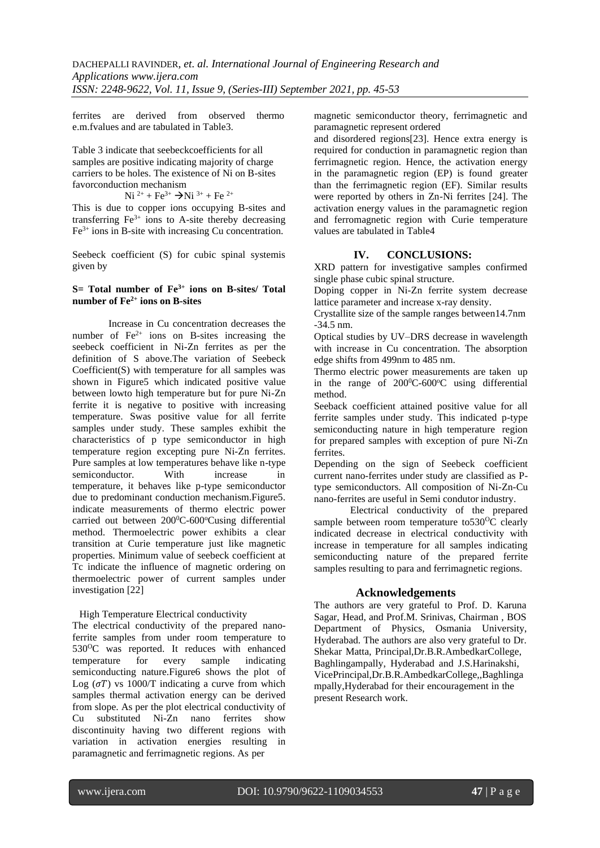ferrites are derived from observed thermo e.m.fvalues and are tabulated in Table3.

Table 3 indicate that seebeckcoefficients for all samples are positive indicating majority of charge carriers to be holes. The existence of Ni on B-sites favorconduction mechanism

Ni  $^{2+}$  + Fe<sup>3+</sup>  $\rightarrow$ Ni  $^{3+}$  + Fe<sup>2+</sup>

This is due to copper ions occupying B-sites and transferring  $Fe^{3+}$  ions to A-site thereby decreasing  $Fe<sup>3+</sup>$  ions in B-site with increasing Cu concentration.

Seebeck coefficient (S) for cubic spinal systemis given by

#### **S= Total number of Fe3+ ions on B-sites/ Total number of Fe2+ ions on B-sites**

Increase in Cu concentration decreases the number of  $Fe^{2+}$  ions on B-sites increasing the seebeck coefficient in Ni-Zn ferrites as per the definition of S above.The variation of Seebeck Coefficient(S) with temperature for all samples was shown in Figure5 which indicated positive value between lowto high temperature but for pure Ni-Zn ferrite it is negative to positive with increasing temperature. Swas positive value for all ferrite samples under study. These samples exhibit the characteristics of p type semiconductor in high temperature region excepting pure Ni-Zn ferrites. Pure samples at low temperatures behave like n-type semiconductor. With increase in temperature, it behaves like p-type semiconductor due to predominant conduction mechanism.Figure5. indicate measurements of thermo electric power carried out between  $200^0C-600^\circC$ using differential method. Thermoelectric power exhibits a clear transition at Curie temperature just like magnetic properties. Minimum value of seebeck coefficient at Tc indicate the influence of magnetic ordering on thermoelectric power of current samples under investigation [22]

#### High Temperature Electrical conductivity

The electrical conductivity of the prepared nanoferrite samples from under room temperature to 530<sup>o</sup>C was reported. It reduces with enhanced temperature for every sample indicating semiconducting nature.Figure6 shows the plot of Log  $(\sigma T)$  vs 1000/T indicating a curve from which samples thermal activation energy can be derived from slope. As per the plot electrical conductivity of Cu substituted Ni-Zn nano ferrites show discontinuity having two different regions with variation in activation energies resulting in paramagnetic and ferrimagnetic regions. As per

magnetic semiconductor theory, ferrimagnetic and paramagnetic represent ordered

and disordered regions[23]. Hence extra energy is required for conduction in paramagnetic region than ferrimagnetic region. Hence, the activation energy in the paramagnetic region (EP) is found greater than the ferrimagnetic region (EF). Similar results were reported by others in Zn-Ni ferrites [24]. The activation energy values in the paramagnetic region and ferromagnetic region with Curie temperature values are tabulated in Table4

## **IV. CONCLUSIONS:**

XRD pattern for investigative samples confirmed single phase cubic spinal structure.

Doping copper in Ni-Zn ferrite system decrease lattice parameter and increase x-ray density.

Crystallite size of the sample ranges between14.7nm -34.5 nm.

Optical studies by UV–DRS decrease in wavelength with increase in Cu concentration. The absorption edge shifts from 499nm to 485 nm.

Thermo electric power measurements are taken up in the range of  $200^{\circ}$ C-600 $^{\circ}$ C using differential method.

Seeback coefficient attained positive value for all ferrite samples under study. This indicated p-type semiconducting nature in high temperature region for prepared samples with exception of pure Ni-Zn ferrites.

Depending on the sign of Seebeck coefficient current nano-ferrites under study are classified as Ptype semiconductors. All composition of Ni-Zn-Cu nano-ferrites are useful in Semi condutor industry.

Electrical conductivity of the prepared sample between room temperature to  $530^{\circ}$ C clearly indicated decrease in electrical conductivity with increase in temperature for all samples indicating semiconducting nature of the prepared ferrite samples resulting to para and ferrimagnetic regions.

## **Acknowledgements**

The authors are very grateful to Prof. D. Karuna Sagar, Head, and Prof.M. Srinivas, Chairman , BOS Department of Physics, Osmania University, Hyderabad. The authors are also very grateful to Dr. Shekar Matta, Principal,Dr.B.R.AmbedkarCollege, Baghlingampally, Hyderabad and J.S.Harinakshi, VicePrincipal,Dr.B.R.AmbedkarCollege,,Baghlinga mpally,Hyderabad for their encouragement in the present Research work.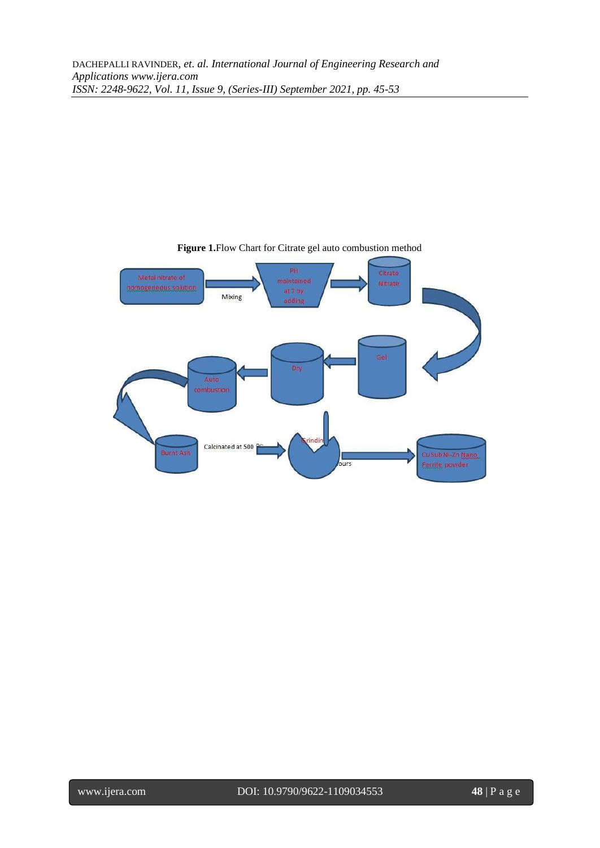

## **Figure 1.**Flow Chart for Citrate gel auto combustion method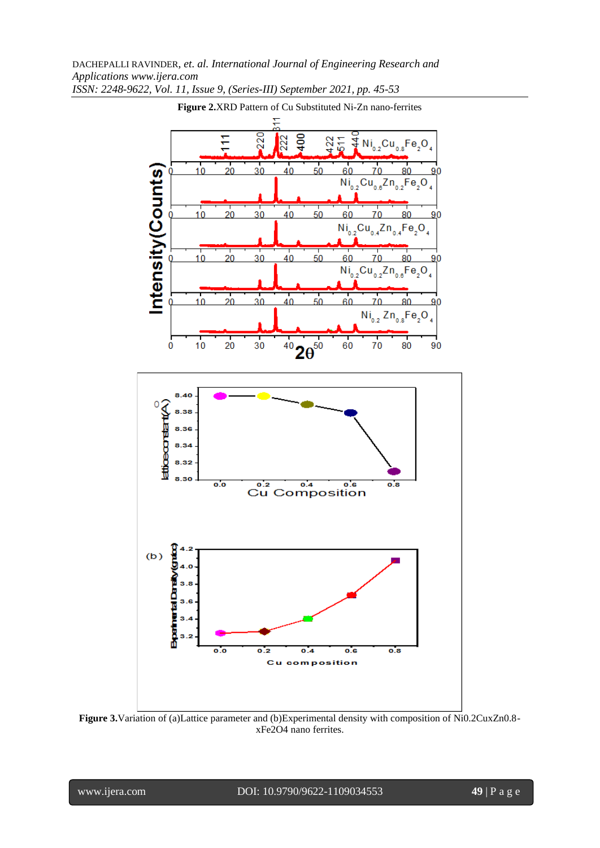

**Figure 2.**XRD Pattern of Cu Substituted Ni-Zn nano-ferrites

**Figure 3.**Variation of (a)Lattice parameter and (b)Experimental density with composition of Ni0.2CuxZn0.8xFe2O4 nano ferrites.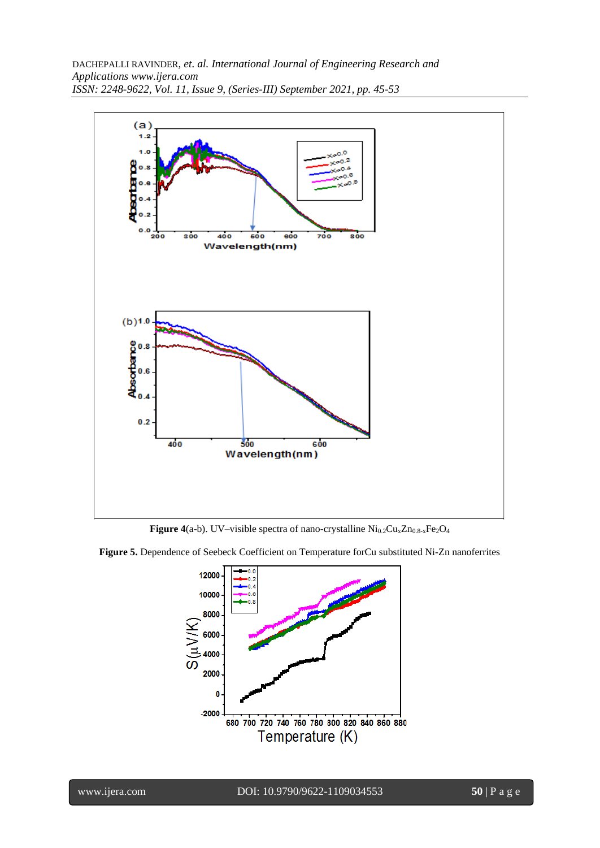

**Figure** 4(a-b). UV–visible spectra of nano-crystalline Ni<sub>0.2</sub>Cu<sub>x</sub>Zn<sub>0.8-x</sub>Fe<sub>2</sub>O<sub>4</sub>

**Figure 5.** Dependence of Seebeck Coefficient on Temperature forCu substituted Ni-Zn nanoferrites

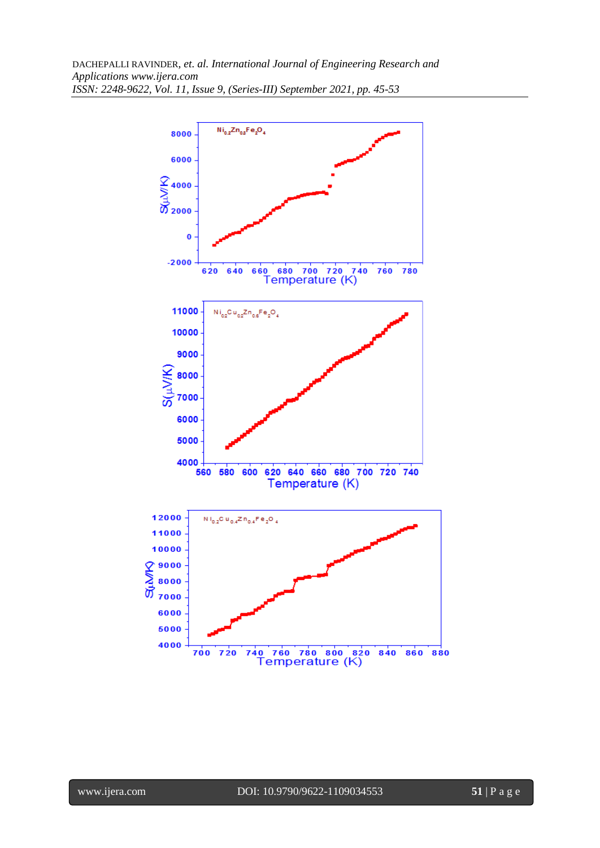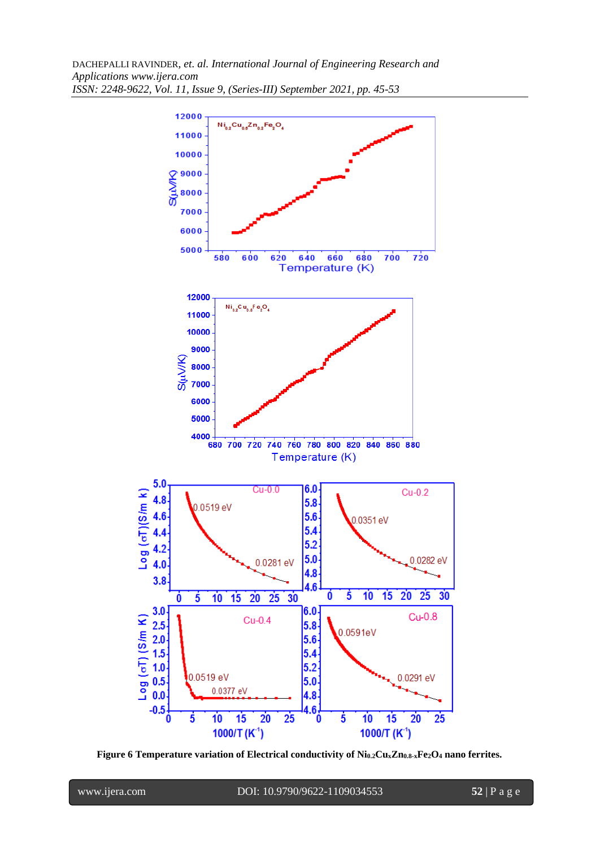

Figure 6 Temperature variation of Electrical conductivity of Ni<sub>0.2</sub>Cu<sub>x</sub>Zn<sub>0.8-x</sub>Fe<sub>2</sub>O<sub>4</sub> nano ferrites.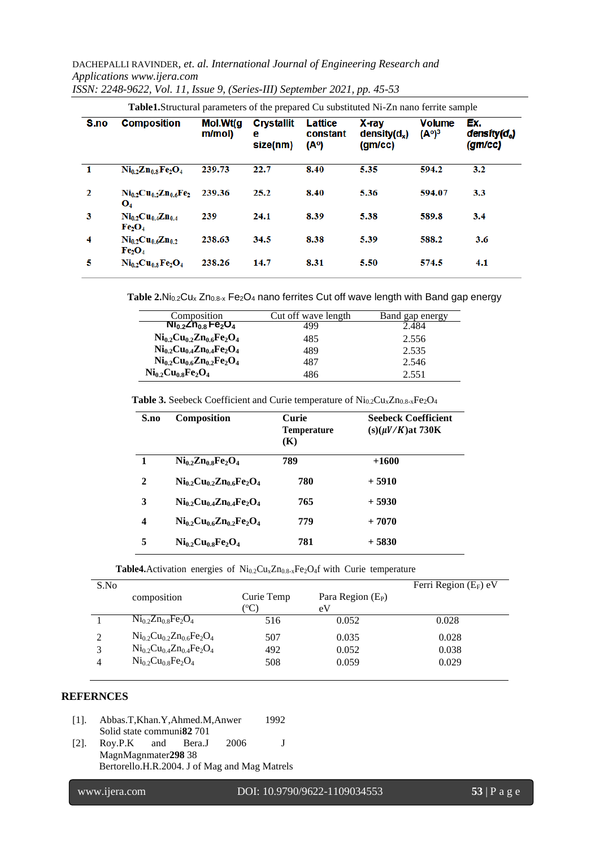DACHEPALLI RAVINDER*, et. al. International Journal of Engineering Research and Applications [www.ijera.com](http://www.ijera.com/) ISSN: 2248-9622, Vol. 11, Issue 9, (Series-III) September 2021, pp. 45-53*

| S.no         | <b>Composition</b>                                           | Mol.Wt(g<br>m/mol) | <b>Crystallit</b><br>е<br>size(nm) | Lattice<br>constant<br>(Aº) | X-ray<br>density( $d_x$ )<br>(gm/cc) | <b>Volume</b><br>$(A^o)^3$ | Ex.<br>density(d.)<br>(gm/cc) |
|--------------|--------------------------------------------------------------|--------------------|------------------------------------|-----------------------------|--------------------------------------|----------------------------|-------------------------------|
|              | $Ni0.2Zn0.8Fe2O4$                                            | 239.73             | 22.7                               | 8.40                        | 5.35                                 | 594.2                      | 3.2                           |
| $\mathbf{2}$ | $Ni_{0.2}Cu_{0.2}Zn_{0.6}Fe_{2}$<br>O <sub>4</sub>           | 239.36             | 25.2                               | 8.40                        | 5.36                                 | 594.07                     | 3.3                           |
| 3            | $Ni_{0.2}Cu_{0.4}Zn_{0.4}$<br>Fe <sub>2</sub> O <sub>4</sub> | 239                | 24.1                               | 8.39                        | 5.38                                 | 589.8                      | 3.4                           |
| 4            | $Ni_{0.2}Cu_{0.6}Zn_{0.2}$<br>Fe <sub>2</sub> O <sub>4</sub> | 238.63             | 34.5                               | 8.38                        | 5.39                                 | 588.2                      | 3.6                           |
| 5            | $Ni0.2Cu0.8Fe2O4$                                            | 238.26             | 14.7                               | 8.31                        | 5.50                                 | 574.5                      | 4.1                           |

**Table 2.**Ni0.2Cu<sup>x</sup> Zn0.8-x Fe2O<sup>4</sup> nano ferrites Cut off wave length with Band gap energy

| Composition                           | Cut off wave length | Band gap energy |
|---------------------------------------|---------------------|-----------------|
| $Nl_{0.2}Zn_{0.8}Fe2O4$               | 499                 | 2.484           |
| $Ni_{0.2}Cu_{0.2}Zn_{0.6}Fe_{2}O_{4}$ | 485                 | 2.556           |
| $Ni_{0.2}Cu_{0.4}Zn_{0.4}Fe_2O_4$     | 489                 | 2.535           |
| $Ni_{0.2}Cu_{0.6}Zn_{0.2}Fe_2O_4$     | 487                 | 2.546           |
| $Ni_{0.2}Cu_{0.8}Fe_2O_4$             | 486                 | 2.551           |

Table 3. Seebeck Coefficient and Curie temperature of Ni<sub>0.2</sub>Cu<sub>x</sub>Zn<sub>0.8-x</sub>Fe<sub>2</sub>O<sub>4</sub>

| S.no | Composition                                                                     | Curie<br><b>Temperature</b><br>(K) | <b>Seebeck Coefficient</b><br>$(s)(\mu V/K)$ at 730K |
|------|---------------------------------------------------------------------------------|------------------------------------|------------------------------------------------------|
|      | $Ni_{0.2}Zn_{0.8}Fe_2O_4$                                                       | 789                                | $+1600$                                              |
| 2    | $Ni_{0.2}Cu_{0.2}Zn_{0.6}Fe_{2}O_{4}$                                           | 780                                | $+5910$                                              |
| 3    | $\mathrm{Ni_{0}}_{2}\mathrm{Cu_{0}}_{4}\mathrm{Zn_{0}}_{4}\mathrm{Fe_{2}O_{4}}$ | 765                                | $+5930$                                              |
| 4    | $Ni_{0.2}Cu_{0.6}Zn_{0.2}Fe_2O_4$                                               | 779                                | $+7070$                                              |
| 5    | $\mathrm{Ni}_0$ <sub>2</sub> Cu <sub>0</sub> sFe <sub>2</sub> O <sub>4</sub>    | 781                                | $+5830$                                              |

Table4.Activation energies of Ni<sub>0.2</sub>Cu<sub>x</sub>Zn<sub>0.8-x</sub>Fe<sub>2</sub>O<sub>4</sub>f with Curie temperature

| S.No |                                                                                       |                           |                               | Ferri Region $(E_F)$ eV |
|------|---------------------------------------------------------------------------------------|---------------------------|-------------------------------|-------------------------|
|      | composition                                                                           | Curie Temp                | Para Region (E <sub>P</sub> ) |                         |
|      |                                                                                       | $^{\mathrm{o}}\mathbf{C}$ | eV                            |                         |
|      | $Ni0.2Zn0.8Fe2O4$                                                                     | 516                       | 0.052                         | 0.028                   |
|      | $\rm Ni_0$ <sub>2</sub> $\rm Cu_0$ <sub>2</sub> $\rm Zn_0$ <sub>6</sub> $\rm Fe_2O_4$ | 507                       | 0.035                         | 0.028                   |
| κ    | $Ni_{0.2}Cu_{0.4}Zn_{0.4}Fe_2O_4$                                                     | 492                       | 0.052                         | 0.038                   |
| 4    | $Ni0$ , $Cu0$ , $Fe2O4$                                                               | 508                       | 0.059                         | 0.029                   |

## **REFERNCES**

- [1]. Abbas.T,Khan.Y,Ahmed.M,Anwer 1992 Solid state communi**82** 701 [2]. Roy.P.K and Bera.J 2006 J MagnMagnmater**298** 38
	- Bertorello.H.R.2004. J of Mag and Mag Matrels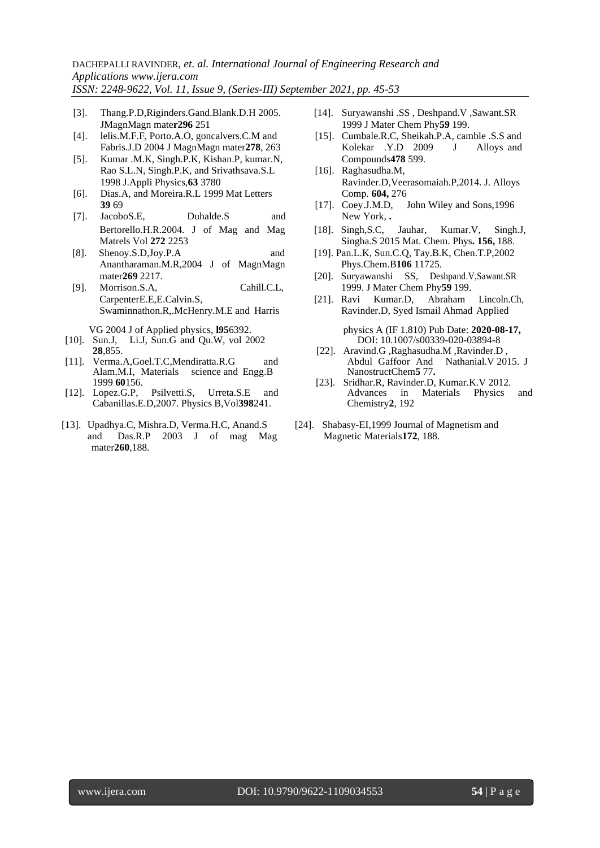- [3]. Thang.P.D,Riginders.Gand.Blank.D.H 2005. [14]. Suryawanshi .SS , Deshpand.V ,Sawant.SR JMagnMagn mate**r296** 251 1999 J Mater Chem Phy**59** 199.
- [4]. lelis.M.F.F, Porto.A.O, goncalvers.C.M and [15]. Cumbale.R.C, Sheikah.P.A, camble .S.S and
- [5]. Kumar .M.K, Singh.P.K, Kishan.P, kumar.N, Compounds**478** 599. Rao S.L.N, Singh.P.K, and Srivathsava.S.L [16]. Raghasudha.M,
- [6]. Dias.A, and Moreira.R.L 1999 Mat Letters
- [7]. JacoboS.E, Duhalde.S and New York, **.** Bertorello.H.R.2004. J of Mag and Mag Matrels Vol **272** 2253
- [8]. Shenoy.S.D,Joy.P.A and Anantharaman.M.R,2004 J of MagnMagn mater**269** 2217.
- [9]. Morrison.S.A, Cahill.C.L, CarpenterE.E,E.Calvin.S, Swaminnathon.R,.McHenry.M.E and Harris

- [10]. Sun.J, Li.J, Sun.G and Qu.W, vol 2002<br>28.855.
- Alam.M.I, Materials science and Engg.B NanostructChem**5** 77**.**
- Cabanillas.E.D,2007. Physics B,Vol**398**241. Chemistry**2**, 192
- [13]. Upadhya.C, Mishra.D, Verma.H.C, Anand.S [24]. Shabasy-EI,1999 Journal of Magnetism and and Das.R.P 2003 J of mag Mag Magnetic Materials 172, 188. mater**260**,188.
- 
- Fabris.J.D 2004 J MagnMagn mater**278**, 263 Kolekar .Y.D 2009 J Alloys and
- 1998 J.Appli Physics, **63** 3780 Ravinder.D, Veerasomaiah.P, 2014. J. Alloys<br>Dias.A. and Moreira.R.L 1999 Mat Letters Comp. **604**, 276
- **39** 69 [17]. Coey.J.M.D, John Wiley and Sons,1996
	- [18]. Singh,S.C, Jauhar, Kumar.V, Singh.J, Singha.S 2015 Mat. Chem. Phys**. 156,** 188.
	- [19]. Pan.L.K, Sun.C.Q, Tay.B.K, Chen.T.P,2002 Phys.Chem.B**106** 11725.
	- [20]. Suryawanshi SS, Deshpand.V,Sawant.SR 1999. J Mater Chem Phy**59** 199.
	- [21]. Ravi Kumar.D, Abraham Lincoln.Ch, Ravinder.D, Syed Ismail Ahmad Applied

VG 2004 J of Applied physics, **l95**6392. physics A (IF 1.810) Pub Date: **2020-08-17,**

- **28**,855. [22]. Aravind.G ,Raghasudha.M ,Ravinder.D , [11]. Verma.A,Goel.T.C,Mendiratta.R.G and Abdul Gaffoor And Nathanial.V 2015. J
- 1999) [23]. Sridhar.R, Ravinder.D, Kumar.K.V 2012.<br> **1999 60156. Example 1999 6016.** Advances in Materials Physics [12]. Lopez.G.P, Psilvetti.S, Urreta.S.E and Advances in Materials Physics and
	-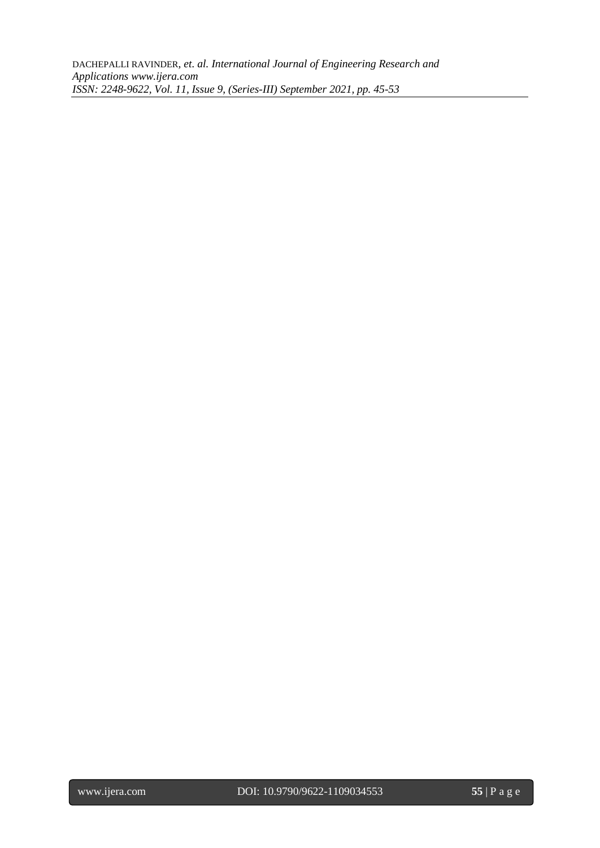[www.ijera.com](http://www.ijera.com/) DOI: 10.9790/9622-1109034553 **55** | P a g e